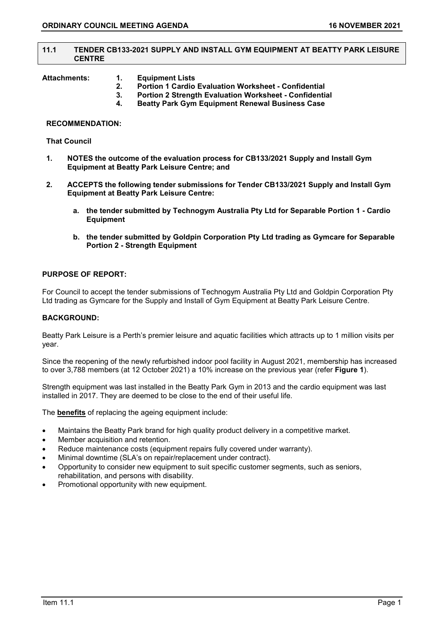#### **11.1 TENDER CB133-2021 SUPPLY AND INSTALL GYM EQUIPMENT AT BEATTY PARK LEISURE CENTRE**

- **Attachments: 1. Equipment Lists** 
	- **2. Portion 1 Cardio Evaluation Worksheet - Confidential**
	- **3. Portion 2 Strength Evaluation Worksheet - Confidential**
	- **4. Beatty Park Gym Equipment Renewal Business Case**

#### **RECOMMENDATION:**

#### **That Council**

- **1. NOTES the outcome of the evaluation process for CB133/2021 Supply and Install Gym Equipment at Beatty Park Leisure Centre; and**
- **2. ACCEPTS the following tender submissions for Tender CB133/2021 Supply and Install Gym Equipment at Beatty Park Leisure Centre:**
	- **a. the tender submitted by Technogym Australia Pty Ltd for Separable Portion 1 - Cardio Equipment**
	- **b. the tender submitted by Goldpin Corporation Pty Ltd trading as Gymcare for Separable Portion 2 - Strength Equipment**

#### **PURPOSE OF REPORT:**

For Council to accept the tender submissions of Technogym Australia Pty Ltd and Goldpin Corporation Pty Ltd trading as Gymcare for the Supply and Install of Gym Equipment at Beatty Park Leisure Centre.

#### **BACKGROUND:**

Beatty Park Leisure is a Perth's premier leisure and aquatic facilities which attracts up to 1 million visits per year.

Since the reopening of the newly refurbished indoor pool facility in August 2021, membership has increased to over 3,788 members (at 12 October 2021) a 10% increase on the previous year (refer **Figure 1**).

Strength equipment was last installed in the Beatty Park Gym in 2013 and the cardio equipment was last installed in 2017. They are deemed to be close to the end of their useful life.

The **benefits** of replacing the ageing equipment include:

- Maintains the Beatty Park brand for high quality product delivery in a competitive market.
- Member acquisition and retention.
- Reduce maintenance costs (equipment repairs fully covered under warranty).
- Minimal downtime (SLA's on repair/replacement under contract).
- Opportunity to consider new equipment to suit specific customer segments, such as seniors, rehabilitation, and persons with disability.
- Promotional opportunity with new equipment.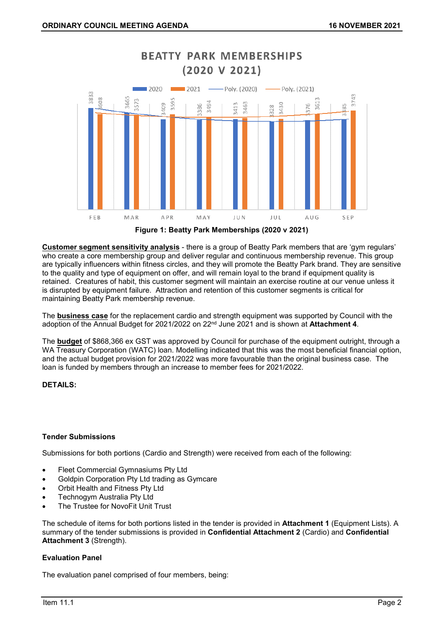

# **BEATTY PARK MEMBERSHIPS**



**Customer segment sensitivity analysis** - there is a group of Beatty Park members that are 'gym regulars' who create a core membership group and deliver regular and continuous membership revenue. This group are typically influencers within fitness circles, and they will promote the Beatty Park brand. They are sensitive to the quality and type of equipment on offer, and will remain loyal to the brand if equipment quality is retained. Creatures of habit, this customer segment will maintain an exercise routine at our venue unless it is disrupted by equipment failure. Attraction and retention of this customer segments is critical for maintaining Beatty Park membership revenue.

The **business case** for the replacement cardio and strength equipment was supported by Council with the adoption of the Annual Budget for 2021/2022 on 22nd June 2021 and is shown at **Attachment 4**.

The **budget** of \$868,366 ex GST was approved by Council for purchase of the equipment outright, through a WA Treasury Corporation (WATC) loan. Modelling indicated that this was the most beneficial financial option, and the actual budget provision for 2021/2022 was more favourable than the original business case. The loan is funded by members through an increase to member fees for 2021/2022.

#### **DETAILS:**

#### **Tender Submissions**

Submissions for both portions (Cardio and Strength) were received from each of the following:

- Fleet Commercial Gymnasiums Pty Ltd
- Goldpin Corporation Pty Ltd trading as Gymcare
- Orbit Health and Fitness Pty Ltd
- Technogym Australia Pty Ltd
- The Trustee for NovoFit Unit Trust

The schedule of items for both portions listed in the tender is provided in **Attachment 1** (Equipment Lists). A summary of the tender submissions is provided in **Confidential Attachment 2** (Cardio) and **Confidential Attachment 3** (Strength).

#### **Evaluation Panel**

The evaluation panel comprised of four members, being: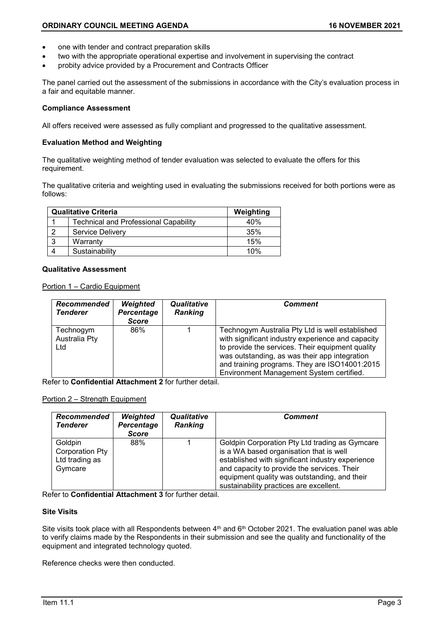- one with tender and contract preparation skills
- two with the appropriate operational expertise and involvement in supervising the contract
- probity advice provided by a Procurement and Contracts Officer

The panel carried out the assessment of the submissions in accordance with the City's evaluation process in a fair and equitable manner.

#### **Compliance Assessment**

All offers received were assessed as fully compliant and progressed to the qualitative assessment.

#### **Evaluation Method and Weighting**

The qualitative weighting method of tender evaluation was selected to evaluate the offers for this requirement.

The qualitative criteria and weighting used in evaluating the submissions received for both portions were as follows:

|   | <b>Qualitative Criteria</b>                  | Weighting |
|---|----------------------------------------------|-----------|
|   | <b>Technical and Professional Capability</b> | 40%       |
| റ | <b>Service Delivery</b>                      | 35%       |
| 3 | Warranty                                     | 15%       |
|   | Sustainability                               | 10%       |

#### **Qualitative Assessment**

Portion 1 – Cardio Equipment

| Recommended<br><b>Tenderer</b>    | Weighted<br>Percentage<br><b>Score</b> | Qualitative<br><b>Ranking</b> | Comment                                                                                                                                                                                                                                                                                                |
|-----------------------------------|----------------------------------------|-------------------------------|--------------------------------------------------------------------------------------------------------------------------------------------------------------------------------------------------------------------------------------------------------------------------------------------------------|
| Technogym<br>Australia Pty<br>Ltd | 86%                                    |                               | Technogym Australia Pty Ltd is well established<br>with significant industry experience and capacity<br>to provide the services. Their equipment quality<br>was outstanding, as was their app integration<br>and training programs. They are ISO14001:2015<br>Environment Management System certified. |

Refer to **Confidential Attachment 2** for further detail.

#### Portion 2 – Strength Equipment

| Recommended<br><b>Tenderer</b>                          | Weighted<br>Percentage<br><b>Score</b> | Qualitative<br><b>Ranking</b> | Comment                                                                                                                                                                                                                                                                                 |
|---------------------------------------------------------|----------------------------------------|-------------------------------|-----------------------------------------------------------------------------------------------------------------------------------------------------------------------------------------------------------------------------------------------------------------------------------------|
| Goldpin<br>Corporation Pty<br>Ltd trading as<br>Gymcare | 88%                                    |                               | Goldpin Corporation Pty Ltd trading as Gymcare<br>is a WA based organisation that is well<br>established with significant industry experience<br>and capacity to provide the services. Their<br>equipment quality was outstanding, and their<br>sustainability practices are excellent. |

Refer to **Confidential Attachment 3** for further detail.

#### **Site Visits**

Site visits took place with all Respondents between 4<sup>th</sup> and 6<sup>th</sup> October 2021. The evaluation panel was able to verify claims made by the Respondents in their submission and see the quality and functionality of the equipment and integrated technology quoted.

Reference checks were then conducted.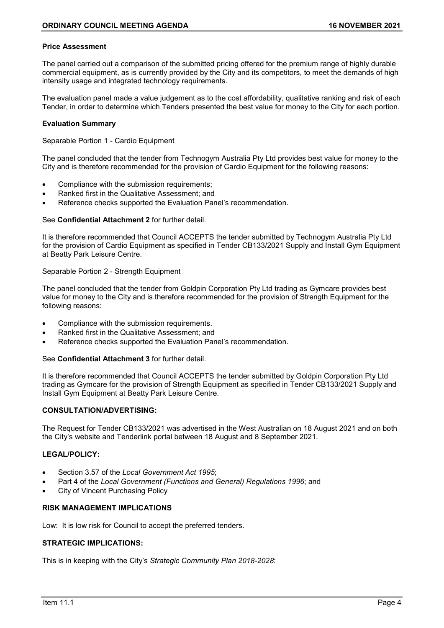#### **Price Assessment**

The panel carried out a comparison of the submitted pricing offered for the premium range of highly durable commercial equipment, as is currently provided by the City and its competitors, to meet the demands of high intensity usage and integrated technology requirements.

The evaluation panel made a value judgement as to the cost affordability, qualitative ranking and risk of each Tender, in order to determine which Tenders presented the best value for money to the City for each portion.

#### **Evaluation Summary**

Separable Portion 1 - Cardio Equipment

The panel concluded that the tender from Technogym Australia Pty Ltd provides best value for money to the City and is therefore recommended for the provision of Cardio Equipment for the following reasons:

- Compliance with the submission requirements;
- Ranked first in the Qualitative Assessment; and
- Reference checks supported the Evaluation Panel's recommendation.

#### See **Confidential Attachment 2** for further detail.

It is therefore recommended that Council ACCEPTS the tender submitted by Technogym Australia Pty Ltd for the provision of Cardio Equipment as specified in Tender CB133/2021 Supply and Install Gym Equipment at Beatty Park Leisure Centre.

#### Separable Portion 2 - Strength Equipment

The panel concluded that the tender from Goldpin Corporation Pty Ltd trading as Gymcare provides best value for money to the City and is therefore recommended for the provision of Strength Equipment for the following reasons:

- Compliance with the submission requirements.
- Ranked first in the Qualitative Assessment; and
- Reference checks supported the Evaluation Panel's recommendation.

#### See **Confidential Attachment 3** for further detail.

It is therefore recommended that Council ACCEPTS the tender submitted by Goldpin Corporation Pty Ltd trading as Gymcare for the provision of Strength Equipment as specified in Tender CB133/2021 Supply and Install Gym Equipment at Beatty Park Leisure Centre.

#### **CONSULTATION/ADVERTISING:**

The Request for Tender CB133/2021 was advertised in the West Australian on 18 August 2021 and on both the City's website and Tenderlink portal between 18 August and 8 September 2021.

#### **LEGAL/POLICY:**

- Section 3.57 of the *Local Government Act 1995*;
- Part 4 of the *Local Government (Functions and General) Regulations 1996*; and
- City of Vincent Purchasing Policy

#### **RISK MANAGEMENT IMPLICATIONS**

Low: It is low risk for Council to accept the preferred tenders.

#### **STRATEGIC IMPLICATIONS:**

This is in keeping with the City's *Strategic Community Plan 2018-2028*: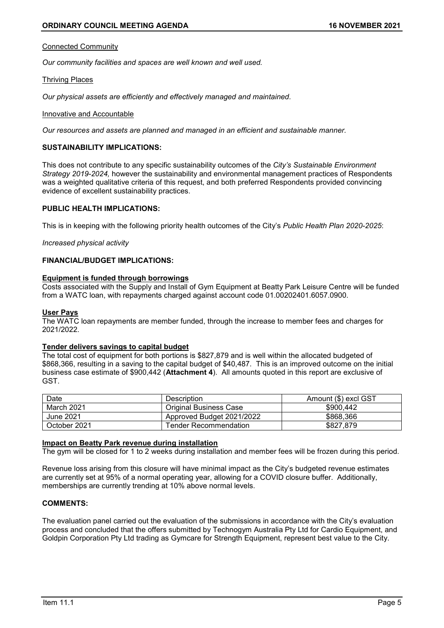#### Connected Community

*Our community facilities and spaces are well known and well used.*

#### Thriving Places

*Our physical assets are efficiently and effectively managed and maintained.*

#### Innovative and Accountable

*Our resources and assets are planned and managed in an efficient and sustainable manner.*

#### **SUSTAINABILITY IMPLICATIONS:**

This does not contribute to any specific sustainability outcomes of the *City's Sustainable Environment Strategy 2019-2024,* however the sustainability and environmental management practices of Respondents was a weighted qualitative criteria of this request, and both preferred Respondents provided convincing evidence of excellent sustainability practices.

#### **PUBLIC HEALTH IMPLICATIONS:**

This is in keeping with the following priority health outcomes of the City's *Public Health Plan 2020-2025*:

#### *Increased physical activity*

#### **FINANCIAL/BUDGET IMPLICATIONS:**

#### **Equipment is funded through borrowings**

Costs associated with the Supply and Install of Gym Equipment at Beatty Park Leisure Centre will be funded from a WATC loan, with repayments charged against account code 01.00202401.6057.0900.

#### **User Pays**

The WATC loan repayments are member funded, through the increase to member fees and charges for 2021/2022.

#### **Tender delivers savings to capital budget**

The total cost of equipment for both portions is \$827,879 and is well within the allocated budgeted of \$868,366, resulting in a saving to the capital budget of \$40,487. This is an improved outcome on the initial business case estimate of \$900,442 (**Attachment 4**). All amounts quoted in this report are exclusive of GST.

| Date         | Description                   | Amount (\$) excl GST |
|--------------|-------------------------------|----------------------|
| March 2021   | <b>Original Business Case</b> | \$900.442            |
| June 2021    | Approved Budget 2021/2022     | \$868,366            |
| October 2021 | Tender Recommendation_        | \$827.879            |

#### **Impact on Beatty Park revenue during installation**

The gym will be closed for 1 to 2 weeks during installation and member fees will be frozen during this period.

Revenue loss arising from this closure will have minimal impact as the City's budgeted revenue estimates are currently set at 95% of a normal operating year, allowing for a COVID closure buffer. Additionally, memberships are currently trending at 10% above normal levels.

#### **COMMENTS:**

The evaluation panel carried out the evaluation of the submissions in accordance with the City's evaluation process and concluded that the offers submitted by Technogym Australia Pty Ltd for Cardio Equipment, and Goldpin Corporation Pty Ltd trading as Gymcare for Strength Equipment, represent best value to the City.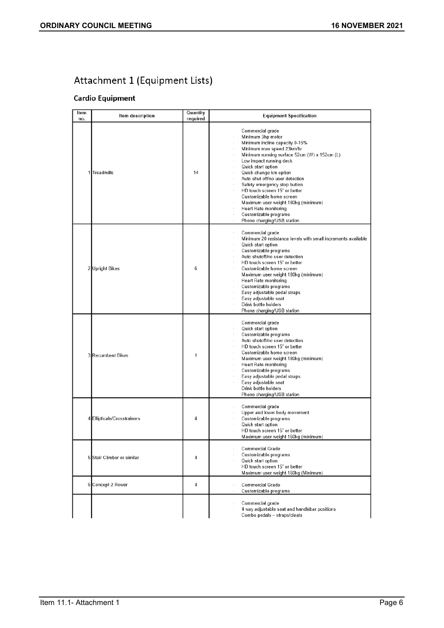## Attachment 1 (Equipment Lists)

### **Cardio Equipment**

| Item<br>no.    | Item description            | Quantity<br>required | <b>Equipment Specification</b>                                                                                                                                                                                                                                                                                                                                                                                                                                                                |
|----------------|-----------------------------|----------------------|-----------------------------------------------------------------------------------------------------------------------------------------------------------------------------------------------------------------------------------------------------------------------------------------------------------------------------------------------------------------------------------------------------------------------------------------------------------------------------------------------|
|                | 1 Treadmills                | 14                   | Commercial grade<br>Minimum 3hp motor<br>Minimum incline capacity 0-15%<br>Minimum max speed 23km/hr<br>Minimum running surface 52cm (W) x 152cm (L)<br>Low impact running deck<br>Quick start option<br>Quick change km option<br>Auto shut off/no user detection<br>Safety emergency stop button<br>HD touch screen 15" or better<br>Customizable home screen<br>Maximum user weight 180kg (minimum)<br><b>Heart Rate monitoring</b><br>Customizable programs<br>Phone charging/USB station |
| $\overline{2}$ | <b>Upright Bikes</b>        | 6                    | Commercial grade<br>Minimum 20 resistance levels with small increments available<br>Quick start option<br>Customizable programs<br>Auto shutoff/no user detection<br>HD touch screen 15" or better<br>Customizable home screen<br>Maximum user weight 180kg (minimum)<br>Heart Rate monitoring<br>Customizable programs<br>Easy adjustable pedal straps<br>Easy adjustable seat<br>Drink bottle holders<br>Phone charging/USB station                                                         |
|                | 3 Recumbent Bikes           | 1                    | Commercial grade<br>Quick start option<br>Customizable programs<br>Auto shutoff/no user detection<br>HD touch screen 15" or better<br>Customizable home screen<br>Maximum user weight 180kg (minimum)<br><b>Heart Rate monitoring</b><br>Customizable programs<br>Easy adjustable pedal straps<br>Easy adjustable seat<br>Drink bottle holders<br>Phone charging/USB station                                                                                                                  |
|                | 4 Ellipticals/Crosstrainers | 4                    | Commercial grade<br>Upper and lower body movement<br>Customizable programs<br>Quick start option<br>HD touch screen 15" or better<br>Maximum user weight 160kg (minimum)                                                                                                                                                                                                                                                                                                                      |
| 5              | Stair Climber or similar    | 4                    | Commercial Grade<br>Customizable programs<br>Quick start option<br>HD touch screen 15" or better<br>Maximum user weight 160kg (Minimum)<br>$\alpha$                                                                                                                                                                                                                                                                                                                                           |
|                | 6 Concept 2 Rower           | 4                    | Commercial Grade<br>Customizable programs<br>$\bar{z}$                                                                                                                                                                                                                                                                                                                                                                                                                                        |
|                |                             |                      | Commercial grade<br>4 way adjustable seat and handlebar positions<br>Combo pedals - straps/cleats                                                                                                                                                                                                                                                                                                                                                                                             |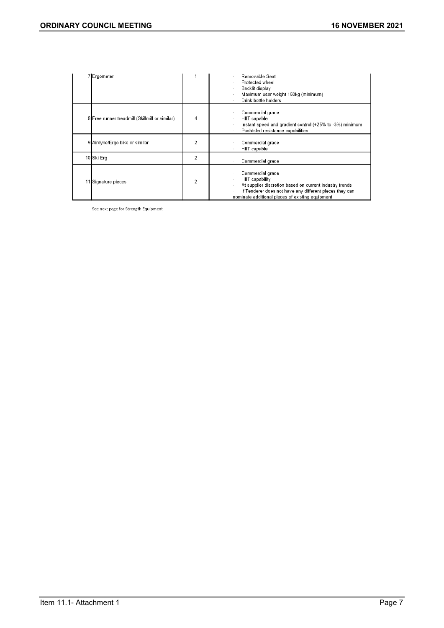| 7 Ergometer                                    |   | Removable Seat<br>Protected wheel<br>Backlit display<br>Maximum user weight 150kg (minimum)<br>Drink bottle holders                                                                                           |
|------------------------------------------------|---|---------------------------------------------------------------------------------------------------------------------------------------------------------------------------------------------------------------|
| 8 Free runner treadmill (Skillmill or similar) | 4 | Commercial grade<br>HIIT capable<br>Instant speed and gradient control (+25% to -3%) minimum<br>Push/sled resistance capabilities                                                                             |
| 9 Airdyne/Ergo bike or similar                 | 2 | Commercial grade<br>HIIT capable                                                                                                                                                                              |
| 10 Ski Erg                                     | 2 | Commercial grade                                                                                                                                                                                              |
| 11 Signature pieces                            | 2 | Commercial grade<br>HIIT capability<br>At supplier discretion based on current industry trends<br>If Tenderer does not have any different pieces they can<br>nominate additional pieces of existing equipment |

See next page for Strength Equipment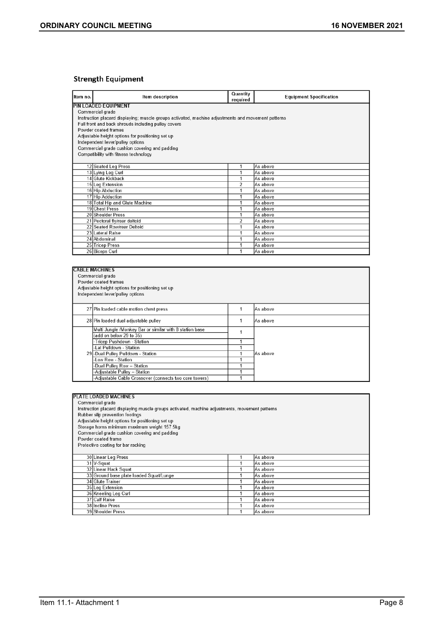#### **Strength Equipment**

| Item no. | Item description                                                                                   | Quantity<br>required | <b>Equipment Specification</b> |
|----------|----------------------------------------------------------------------------------------------------|----------------------|--------------------------------|
|          | PIN LOADED EQUIPMENT                                                                               |                      |                                |
|          | Commercial grade                                                                                   |                      |                                |
|          | Instruction placard displaying; muscle groups activated, machine adjustments and movement patterns |                      |                                |
|          | Full front and back shrouds including pulley covers                                                |                      |                                |
|          | Powder coated frames                                                                               |                      |                                |
|          | Adjustable height options for positioning set up                                                   |                      |                                |
|          | Independent lever/pulley options                                                                   |                      |                                |
|          | Commercial grade cushion covering and padding                                                      |                      |                                |
|          | Compatibility with fitness technology                                                              |                      |                                |
|          |                                                                                                    |                      |                                |
|          | 12 Seated Leg Press                                                                                | 1                    | As above                       |
|          | 13 Lying Leg Curl                                                                                  |                      | As above                       |
|          | 14 Glute Kickback                                                                                  |                      | As above                       |
|          | 15 Leg Extension                                                                                   | $\overline{2}$       | As above                       |
|          | 16 Hip Abduction                                                                                   |                      | As above                       |
|          | 17 Hip Adduction                                                                                   |                      | As above                       |
|          | 18 Total Hip and Glute Machine                                                                     | 1                    | As above                       |
|          | 19 Chest Press                                                                                     |                      | As above                       |
|          | 20 Shoulder Press                                                                                  | 1                    | As above                       |
|          | 21 Pectoral fly/rear deltoid                                                                       | 2                    | As above                       |
|          | 22 Seated Row/rear Deltoid                                                                         | 1                    | As above                       |
|          | 23 Lateral Raise                                                                                   | 1                    | As above                       |
|          | 24 Abdominal                                                                                       |                      | As above                       |
|          | 25 Tricep Press                                                                                    | 4                    | As above                       |
|          | 26 Biceps Curl                                                                                     |                      | As above                       |

| <b>CABLE MACHINES</b>                                   |  |          |  |  |
|---------------------------------------------------------|--|----------|--|--|
| Commercial grade                                        |  |          |  |  |
| Powder coated frames                                    |  |          |  |  |
| Adjustable height options for positioning set up        |  |          |  |  |
| Independent lever/pulley options                        |  |          |  |  |
|                                                         |  |          |  |  |
| 27 Pin loaded cable motion chest press                  |  | As above |  |  |
| 28 Pin loaded dual adjustable pulley                    |  | As above |  |  |
|                                                         |  |          |  |  |
| Multi Jungle /Monkey Bar or similar with 8 station base |  |          |  |  |
| (add on below 29 to 35)                                 |  |          |  |  |
| -Tricep Pushdown - Station                              |  |          |  |  |
| Lat Pulldown - Station                                  |  |          |  |  |
| 29 - Dual Pulley Pulldown - Station                     |  | As above |  |  |
| Low Row - Station                                       |  |          |  |  |
| Dual Pulley Row - Station                               |  |          |  |  |
| -Adjustable Pulley - Station                            |  |          |  |  |
| -Adjustable Cable Crossover (connects two core towers)  |  |          |  |  |

| PLATE LOADED MACHINES                                                                          |  |          |  |  |
|------------------------------------------------------------------------------------------------|--|----------|--|--|
| Commercial grade                                                                               |  |          |  |  |
| Instruction placard displaying muscle groups activated, machine adjustments, movement patterns |  |          |  |  |
| Rubber slip prevention footings                                                                |  |          |  |  |
| Adjustable height options for positioning set up                                               |  |          |  |  |
| Storage horns minimum maximum weight 157.5kg                                                   |  |          |  |  |
| Commercial grade cushion covering and padding                                                  |  |          |  |  |
| Powder coated frame                                                                            |  |          |  |  |
| Protective coating for bar racking                                                             |  |          |  |  |
|                                                                                                |  |          |  |  |
| 30 Linear Leg Press                                                                            |  | As above |  |  |
| 31 V-Squat                                                                                     |  | As above |  |  |
| 32 Linear Hack Squat                                                                           |  | As above |  |  |
| 33 Ground base plate loaded Squat/Lunge                                                        |  | As above |  |  |
| 34 Glute Trainer                                                                               |  | As above |  |  |
| 35 Leg Extension                                                                               |  | As above |  |  |
| 36 Kneeling Leg Curl                                                                           |  | As above |  |  |
| 37 Calf Raise                                                                                  |  | As above |  |  |
| 38 Incline Press                                                                               |  | As above |  |  |
| 39 Shoulder Press                                                                              |  | As above |  |  |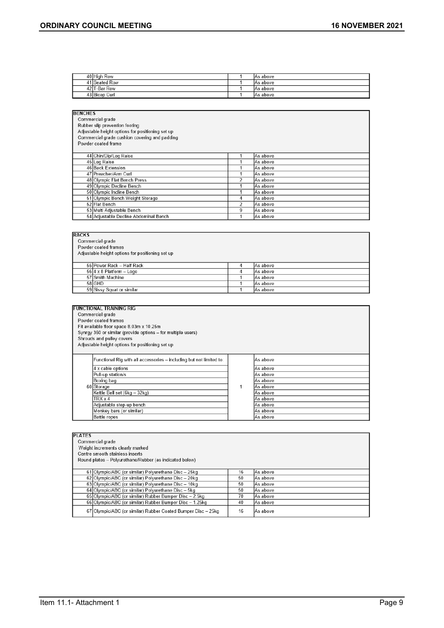| 40 High Row      | IAs above |
|------------------|-----------|
| 41 Seated Row    | IAs above |
| 42 T-Bar Row     | IAs above |
| Curl<br>43 Bicep | IAs above |

| <b>BENCHES</b> |                                                  |                |          |  |  |
|----------------|--------------------------------------------------|----------------|----------|--|--|
|                | Commercial grade                                 |                |          |  |  |
|                | Rubber slip prevention footing                   |                |          |  |  |
|                | Adjustable height options for positioning set up |                |          |  |  |
|                | Commercial grade cushion covering and padding    |                |          |  |  |
|                | Powder coated frame                              |                |          |  |  |
|                |                                                  |                |          |  |  |
|                | 44 Chin/Dip/Leg Raise                            |                | As above |  |  |
|                | 45 Leg Raise                                     |                | As above |  |  |
|                | 46 Back Extension                                |                | As above |  |  |
|                | 47 Preacher/Arm Curl                             |                | As above |  |  |
|                | 48 Olympic Flat Bench Press                      | $\overline{a}$ | As above |  |  |
|                | 49 Olympic Decline Bench                         |                | As above |  |  |
|                | 50 Olympic Incline Bench                         |                | As above |  |  |
|                | 51 Olympic Bench Weight Storage                  | 4              | As above |  |  |
|                | 52 Flat Bench                                    | $\overline{2}$ | As above |  |  |
|                | 53 Multi Adjustable Bench                        | 9              | As above |  |  |
|                | 54 Adjustable Decline Abdominal Bench            |                | As above |  |  |

| <b>RACKS</b><br>Commercial grade<br>Powder coated frames<br>Adjustable height options for positioning set up |                                            |  |          |  |  |
|--------------------------------------------------------------------------------------------------------------|--------------------------------------------|--|----------|--|--|
|                                                                                                              | 55 Power Rack - Half Rack<br>As above<br>4 |  |          |  |  |
|                                                                                                              | $\frac{1}{56}$ 4 x 8 Platform - Logo       |  | As above |  |  |
|                                                                                                              | 57 Smith Machine                           |  | As above |  |  |
|                                                                                                              | 58 GHD                                     |  | As above |  |  |
|                                                                                                              | 59 Sissy Squat or similar                  |  | As above |  |  |

| <b>FUNCTIONAL TRAINING RIG</b><br>Commercial grade<br>Powder coated frames<br>Fit available floor space 8.03m x 10.25m<br>Synrgy 360 or similar (provide options - for multiple users)<br>Shrouds and pulley covers<br>Adjustable height options for positioning set up |  |                                                                                                                      |  |  |  |
|-------------------------------------------------------------------------------------------------------------------------------------------------------------------------------------------------------------------------------------------------------------------------|--|----------------------------------------------------------------------------------------------------------------------|--|--|--|
| Functional Rig with all accessories - including but not limited to:<br>4 x cable options<br>Pull-up station/s<br>Boxing bag<br>60 Storage<br>Kettle Bell set (6kg - 32kg)<br>$TRX \times 4$<br>Adjustable step-up bench<br>Monkey bars (or similar)<br>Battle ropes     |  | As above<br>As above<br>As above<br>As above<br>As above<br>As above<br>As above<br>As above<br>As above<br>As above |  |  |  |

| <b>PLATES</b>                                                |    |           |  |  |  |  |
|--------------------------------------------------------------|----|-----------|--|--|--|--|
| Commercial grade                                             |    |           |  |  |  |  |
| Weight increments clearly marked                             |    |           |  |  |  |  |
| Centre smooth stainless inserts                              |    |           |  |  |  |  |
| Round plates - Polyurethane/Rubber (as indicated below)      |    |           |  |  |  |  |
|                                                              |    |           |  |  |  |  |
| 61 Olympic/ABC (or similar) Polyurethane Disc - 25kg         | 16 | As above  |  |  |  |  |
| 62 Olympic/ABC (or similar) Polyurethane Disc - 20kg         | 50 | As above  |  |  |  |  |
| 63 Olympic/ABC (or similar) Polyurethane Disc - 10kg         | 50 | As above  |  |  |  |  |
| 64 Olympic/ABC (or similar) Polyurethane Disc - 5kg          | 50 | As above  |  |  |  |  |
| 65 Olympic/ABC (or similar) Rubber Bumper Disc - 2.5kg       | 70 | As above  |  |  |  |  |
| 66 Olympic/ABC (or similar) Rubber Bumper Disc - 1.25kg      | 40 | As above  |  |  |  |  |
| 67 Olympic/ABC (or similar) Rubber Coated Bumper Disc - 25kg | 16 | lAs above |  |  |  |  |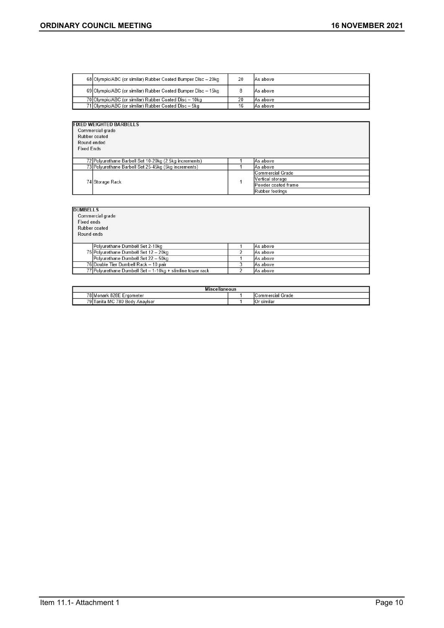| 68 Olympic/ABC (or similar) Rubber Coated Bumper Disc - 20kg | 20 | IAs above |
|--------------------------------------------------------------|----|-----------|
| 69 Olympic/ABC (or similar) Rubber Coated Bumper Disc - 15kg |    | IAs above |
| 70 Olympic/ABC (or similar) Rubber Coated Disc - 10kg        | 20 | IAs above |
| 71 Olympic/ABC (or similar) Rubber Coated Disc - 5kg         | 16 | lAs above |

| <b>FIXED WEIGHTED BARBELLS</b>                         |                  |
|--------------------------------------------------------|------------------|
| Commercial grade                                       |                  |
| Rubber coated                                          |                  |
| Round ended                                            |                  |
| <b>Fixed Ends</b>                                      |                  |
|                                                        |                  |
| 72 Polyurethane Barbell Set 10-20kg (2.5kg increments) | As above         |
| 73 Polyurethane Barbell Set 25-45kg (5kg increments)   | As above         |
|                                                        | Commercial Grade |
|                                                        | Wortloal atoroga |

| 73   Polyurethane Barbell Set 25-45kg (5kg increments) |  | IAs above           |
|--------------------------------------------------------|--|---------------------|
| 74 Storage Rack                                        |  | Commercial Grade    |
|                                                        |  | Vertical storage    |
|                                                        |  | Powder coated frame |
|                                                        |  | Rubber footings     |

| <b>DUMBELLS</b>                                            |   |           |
|------------------------------------------------------------|---|-----------|
| Commercial grade                                           |   |           |
| Fixed ends                                                 |   |           |
| Rubber coated                                              |   |           |
| Round ends                                                 |   |           |
|                                                            |   |           |
| Polyurethane Dumbell Set 2-10kg                            |   | As above  |
| 75 Polyurethane Dumbell Set 12 - 20kg                      |   | lAs above |
| Polyurethane Dumbell Set 22 - 50kg                         |   | As above  |
| 76 Double Tier Dumbell Rack - 10 pair                      | 3 | As above  |
| 77 Polyurethane Dumbell Set - 1-10kg + slimline tower rack |   | As above  |

| $-$<br><b>Miscellaneous</b>                                   |  |              |  |  |  |
|---------------------------------------------------------------|--|--------------|--|--|--|
| 78 Monark<br>828E<br>-<br>Grade<br>: Ergometer<br>ICommercial |  |              |  |  |  |
| 79<br>780<br>Body<br>Tanita MC<br>Anaviser<br>-               |  | similai<br>ັ |  |  |  |